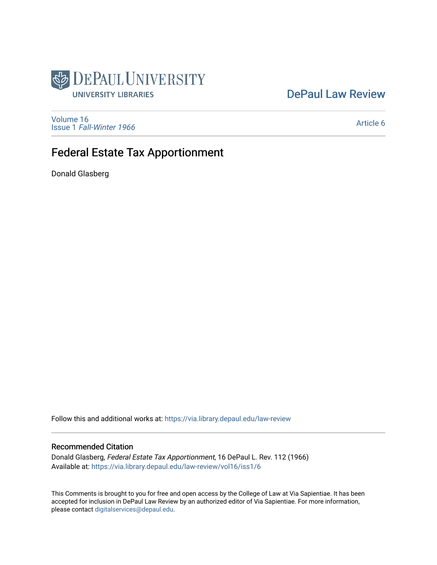

# [DePaul Law Review](https://via.library.depaul.edu/law-review)

[Volume 16](https://via.library.depaul.edu/law-review/vol16) Issue 1 [Fall-Winter 1966](https://via.library.depaul.edu/law-review/vol16/iss1)

[Article 6](https://via.library.depaul.edu/law-review/vol16/iss1/6) 

# Federal Estate Tax Apportionment

Donald Glasberg

Follow this and additional works at: [https://via.library.depaul.edu/law-review](https://via.library.depaul.edu/law-review?utm_source=via.library.depaul.edu%2Flaw-review%2Fvol16%2Fiss1%2F6&utm_medium=PDF&utm_campaign=PDFCoverPages) 

# Recommended Citation

Donald Glasberg, Federal Estate Tax Apportionment, 16 DePaul L. Rev. 112 (1966) Available at: [https://via.library.depaul.edu/law-review/vol16/iss1/6](https://via.library.depaul.edu/law-review/vol16/iss1/6?utm_source=via.library.depaul.edu%2Flaw-review%2Fvol16%2Fiss1%2F6&utm_medium=PDF&utm_campaign=PDFCoverPages) 

This Comments is brought to you for free and open access by the College of Law at Via Sapientiae. It has been accepted for inclusion in DePaul Law Review by an authorized editor of Via Sapientiae. For more information, please contact [digitalservices@depaul.edu.](mailto:digitalservices@depaul.edu)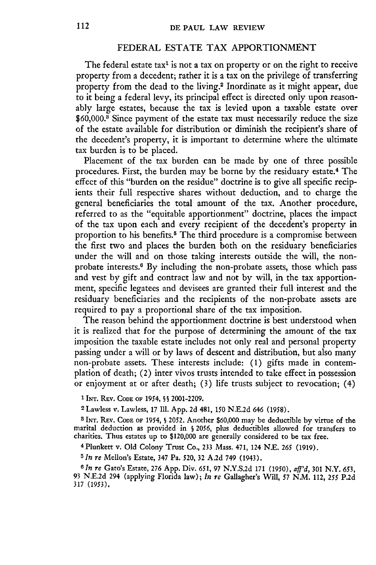## FEDERAL ESTATE TAX APPORTIONMENT

The federal estate tax<sup>1</sup> is not a tax on property or on the right to receive property from a decedent; rather it is a tax on the privilege of transferring property from the dead to the living.<sup>2</sup> Inordinate as it might appear, due to it being a federal levy, its principal effect is directed only upon reasonably large estates, because the tax is levied upon a taxable estate over **\$60,000.3** Since payment of the estate tax must necessarily reduce the size of the estate available for distribution or diminish the recipient's share of the decedent's property, it is important to determine where the ultimate tax burden is to be placed.

Placement of the tax burden can be made by one of three possible procedures. First, the burden may be borne by the residuary estate. 4 The effect of this "burden on the residue" doctrine is to give all specific recipients their full respective shares without deduction, and to charge the general beneficiaries the total amount of the tax. Another procedure, referred to as the "equitable apportionment" doctrine, places the impact of the tax upon each and every recipient of the decedent's property in proportion to his benefits.<sup>5</sup> The third procedure is a compromise between the first two and places the burden both on the residuary beneficiaries under the will and on those taking interests outside the will, the nonprobate interests.6 By including the non-probate assets, those which pass and vest by gift and contract law and not by will, in the tax apportionment, specific legatees and devisees are granted their full interest and the residuary beneficiaries and the recipients of the non-probate assets are required to pay a proportional share of the tax imposition.

The reason behind the apportionment doctrine is best understood when it is realized that for the purpose of determining the amount of the tax imposition the taxable estate includes not only real and personal property passing under a will or by laws of descent and distribution, but also many non-probate assets. These interests include: **(1)** gifts made in contemplation of death; (2) inter vivos trusts intended to take effect in possession or enjoyment at or after death; (3) life trusts subject to revocation; (4)

**1 INT.** REv. **CODE** OF 1954, **§ S** 2001-2209.

2 Lawless v. Lawless, 17 **111.** App. 2d 481, **150** N.E.2d 646 (1958).

**3 INT.** REV. **CODE** OF 1954, **§** 2052. Another \$60,000 may be deductible by virtue of the marital deduction as provided in **S** 2056, plus deductibles allowed for transfers to charities. Thus estates up to \$120,000 are generally considered to be tax free.

**4** Plunkett v. Old Colony Trust Co., 233 Mass. 471, 124 NE. *<sup>265</sup>*(1919).

*5 In re* Mellon's Estate, 347 Pa. 520, **32** A.2d 749 (1943).

*6 In re* Gato's Estate, 276 App. Div. 651, 97 N.Y.S.2d 171 (1950), *aff'd,* 301 N.Y. 653, 93 N.E.2d 294 (applying Florida law); *In re* Gallagher's Will, 57 N.M. 112, *255* P.2d 317 (1953).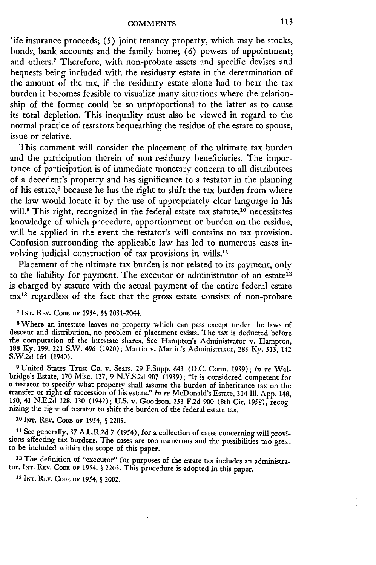life insurance proceeds; (5) joint tenancy property, which may be stocks, bonds, bank accounts and the family home; (6) powers of appointment; and others.7 Therefore, with non-probate assets and specific devises and bequests being included with the residuary estate in the determination of the amount of the tax, if the residuary estate alone had to bear the tax burden it becomes feasible to visualize many situations where the relationship of the former could be so unproportional to the latter as to cause its total depletion. This inequality must also be viewed in regard to the normal practice of testators bequeathing the residue of the estate to spouse, issue or relative.

This comment will consider the placement of the ultimate tax burden and the participation therein of non-residuary beneficiaries. The importance of participation is of immediate monetary concern to all distributees of a decedent's property and has significance to a testator in the planning of his estate,<sup>8</sup> because he has the right to shift the tax burden from where the law would locate it by the use of appropriately clear language in his will.<sup>9</sup> This right, recognized in the federal estate tax statute,<sup>10</sup> necessitates knowledge of which procedure, apportionment or burden on the residue, will be applied in the event the testator's will contains no tax provision. Confusion surrounding the applicable law has led to numerous cases involving judicial construction of tax provisions in wills.<sup>11</sup>

Placement of the ultimate tax burden is not related to its payment, only to the liability for payment. The executor or administrator of an estate<sup>12</sup> is charged by statute with the actual payment of the entire federal estate taxia regardless of the fact that the gross estate consists of non-probate

#### **7** INT. REV. CODE **OF** 1954, **S§** 2031-2044.

8 Where an intestate leaves no property which can pass except under the laws of descent and distribution, no problem of placement exists. The tax is deducted before the computation of the intestate shares. See Hampton's Administrator v. Hampton, 188 Ky. 199, 221 S.W. 496 (1920); Martin v. Martin's Administrator, 283 Ky. 513, 142 S.W.2d 164 (1940).

**9** United States Trust Co. v. Sears. 29 F.Supp. 643 (D.C. Conn. 1939); *In re* Walbridge's Estate, 170 Misc. 127, 9 N.Y.S.2d 907 (1939); "It is considered competent for a testator to specify what property shall assume the burden of inheritance tax on the transfer or right of succession of his estate." *In re* McDonald's Estate, 314 Ill. App. 148, 150, 41 N.E.2d 128, 130 (1942); U.S. v. Goodson, 253 F.2d 900 (8th Cir. 1958), recognizing the right of testator to shift the burden of the federal estate tax.

**10** INT. REv. **CODE OF** 1954, § 2205.

**11** See generally, 37 A.L.R.2d 7 (1954), for a collection of cases concerning will provisions affecting tax burdens. The cases are too numerous and the possibilities too great to be included within the scope of this paper.

12 The definition of "executor" for purposes of the estate tax includes an administrator. **INT.** REV. **CODE OF** 1954, § 2203. This procedure is adopted in this paper.

**<sup>13</sup>**INT. REv. **CODE OF** 1954, **S** 2002.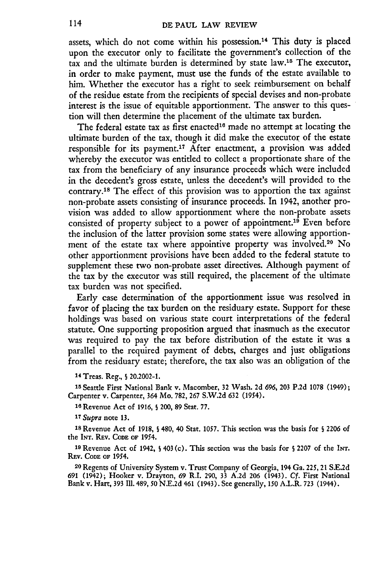assets, which do not come within his possession.<sup>14</sup> This duty is placed upon the executor only to facilitate the government's collection of the tax and the ultimate burden is determined by state law.'5 The executor, in order to make payment, must use the funds of the estate available to him. Whether the executor has a right to seek reimbursement on behalf of the residue estate from the recipients of special devises and non-probate interest is the issue of equitable apportionment. The answer to this question will then determine the placement of the ultimate tax burden.

The federal estate tax as first enacted<sup>16</sup> made no attempt at locating the ultimate burden of the tax, though it did make the executor of the estate responsible for its payment.17 After enactment, a provision was added whereby the executor was entitled to collect a proportionate share of the tax from the beneficiary of any insurance proceeds which were included in the decedent's gross estate, unless the decedent's will provided to the contrary.'8 The effect of this provision was to apportion the tax against non-probate assets consisting of insurance proceeds. In 1942, another provision was added to allow apportionment where the non-probate assets consisted of property subject to a power of appointment.<sup>19</sup> Even before the inclusion of the latter provision some states were allowing apportionment of the estate tax where appointive property was involved.20 No other apportionment provisions have been added to the federal statute to supplement these two non-probate asset directives. Although payment of the tax by the executor was still required, the placement of the ultimate tax burden was not specified.

Early case determination of the apportionment issue was resolved in favor of placing the tax burden on the residuary estate. Support for these holdings was based on various state court interpretations of the federal statute. One supporting proposition argued that inasmuch as the executor was required to pay the tax before distribution of the estate it was a parallel to the required payment of debts, charges and just obligations from the residuary estate; therefore, the tax also was an obligation of the

14 Treas. Reg., **S** 20.2002-1.

**<sup>15</sup>**Seattle First National Bank v. Macomber, **32** Wash. 2d 696, **203** P.2d 1078 (1949); Carpenter v. Carpenter, 364 Mo. 782, 267 S.W.2d **632** (1954).

**'6** Revenue Act of 1916, **S** 200, 89 Stat. 77.

*<sup>17</sup>Supra* note **13.**

**<sup>18</sup>**Revenue Act of 1918, **5** 480, 40 Stat. 1057. This section was the basis for **S** 2206 of the Ir. REv. **CODE** OF 1954.

**<sup>19</sup>**Revenue Act of 1942, **S** 403 (c). This section was the basis for **S** 2207 of the INT. REv. **CODE** OF 1954.

**2O** Regents of University System v. Trust Company of Georgia, 194 Ga. 225, 21 S.E.2d 691 (1942); Hooker v. Drayton, 69 R.I. 290, **33** A.2d 206 (1943). *Cf.* First National Bank v. Hart, **393** 111.489, 50 N.E.2d 461 (1943). See generally, 150 A.L.R. **723** (1944).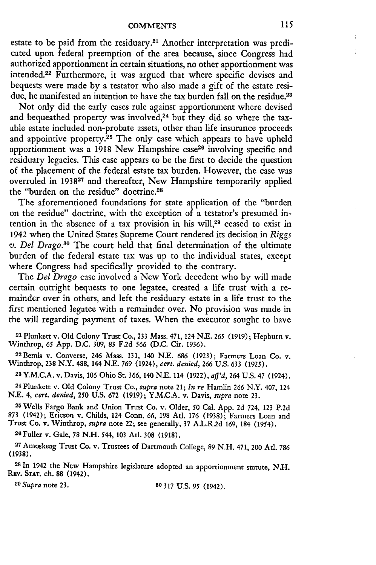estate to be paid from the residuary.<sup>21</sup> Another interpretation was predicated upon federal preemption of the area because, since Congress had authorized apportionment in certain situations, no other apportionment was intended. 22 Furthermore, it was argued that where specific devises and bequests were made by a testator who also made a gift of the estate residue, he manifested an intention to have the tax burden fall on the residue.<sup>28</sup>

Not only did the early cases rule against apportionment where devised and bequeathed property was involved,<sup>24</sup> but they did so where the taxable estate included non-probate assets, other than life insurance proceeds and appointive property.<sup>25</sup> The only case which appears to have upheld apportionment was a 1918 New Hampshire case<sup>26</sup> involving specific and residuary legacies. This case appears to be the first to decide the question of the placement of the federal estate tax burden. However, the case was overruled in 193827 and thereafter, New Hampshire temporarily applied the "burden on the residue" doctrine.<sup>28</sup>

The aforementioned foundations for state application of the "burden on the residue" doctrine, with the exception of a testator's presumed intention in the absence of a tax provision in his will,<sup>29</sup> ceased to exist in 1942 when the United States Supreme Court rendered its decision in *Riggs v. Del Drago.30* The court held that final determination of the ultimate burden of the federal estate tax was up to the individual states, except where Congress had specifically provided to the contrary.

The *Del Drago* case involved a New York decedent who by will made certain outright bequests to one legatee, created a life trust with a remainder over in others, and left the residuary estate in a life trust to the first mentioned legatee with a remainder over. No provision was made in the will regarding payment of taxes. When the executor sought to have

21 Plunkett v. Old Colony Trust Co., 233 Mass. 471,124 **N.E.** 265 (1919); Hepburn v. Winthrop, 65 App. D.C. 309, 83 F.2d 566 (D.C. Cir. 1936).

<sup>22</sup> Bemis v. Converse, 246 Mass. 131, 140 N.E. 686 (1923); Farmers Loan Co. v. Winthrop, 238 N.Y. 488, 144 **N.E.** 769 (1924), *cert. denied,* 266 U.S. 633 (1925).

**<sup>28</sup>**Y.M.C.A. v. Davis, 106 Ohio St. 366, 140 N.. 114 (1922), *aff'd,* 264 U.S. 47 (1924).

24 Plunkett v. Old Colony Trust Co., *supra* note 21; *In re* Hamlin 266 N.Y. 407, 124 N.. 4, *cert. denied,* 250 U.S. 672 (1919); Y.M.CA. v. Davis, *supra* note 23.

**<sup>25</sup>**Wells Fargo Bank and Union Trust Co. v. Older, 50 Cal. App. 2d 724, 123 P.2d 873 (1942); Ericson v. Childs, 124 Conn. 66, 198 Ad. 176 (1938); Farmers Loan and Trust Co. v. Winthrop, *supra* note 22; see generally, 37 A.L.R.2d 169, 184 (1954). <sup>2</sup> <sup>6</sup> Fuller v. Gale, **78 N.H.** 544, **103** At. **308** (1918).

**<sup>27</sup>**Amoskeag Trust Co. v. Trustees of Dartmouth College, 89 N.H. 471, 200 Ad. 786 (1938).

**<sup>28</sup>**In 1942 the New Hampshire legislature adopted an apportionment statute, N.H. REV. **STAT.** ch. 88 (1942).

*<sup>2</sup> <sup>9</sup> Supra* note **23. 80 317** U.S. 95 (1942).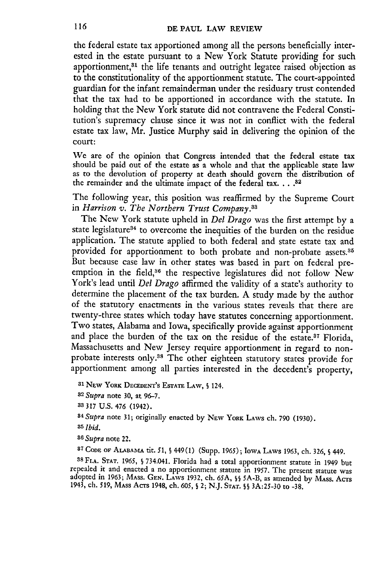the federal estate tax apportioned among all the persons beneficially interested in the estate pursuant to a New York Statute providing for such apportionment,<sup>31</sup> the life tenants and outright legatee raised objection as to the constitutionality of the apportionment statute. The court-appointed guardian for the infant remainderman under the residuary trust contended that the tax had to be apportioned in accordance with the statute. In holding that the New York statute did not contravene the Federal Constitution's supremacy clause since it was not in conflict with the federal estate tax law, Mr. Justice Murphy said in delivering the opinion of the court:

We are of the opinion that Congress intended that the federal estate tax should **be** paid out of the estate as a whole and that the applicable state law as to the devolution of property at death should govern the distribution of the remainder and the ultimate impact of the federal tax. **.... 32**

The following year, this position was reaffirmed **by** the Supreme Court in *Harrison v. The Northern Trust Company.88*

The New York statute upheld in *Del Drago* **was** the first attempt **by** a state legislature<sup>34</sup> to overcome the inequities of the burden on the residue application. The statute applied to both federal and state estate tax and provided for apportionment to both probate and non-probate assets.<sup>35</sup> But because case law in other states was based in part on federal preemption in the field,<sup>36</sup> the respective legislatures did not follow New York's lead until *Del Drago* affirmed the validity of a state's authority to determine the placement of the tax burden. A study made **by** the author of the statutory enactments in the various states reveals that there are twenty-three states which today have statutes concerning apportionment. Two states, Alabama and Iowa, specifically provide against apportionment and place the burden of the tax on the residue of the estate.<sup>37</sup> Florida, Massachusetts and New Jersey require apportionment in regard to nonprobate interests only.38 The other eighteen statutory states provide for apportionment among all parties interested in the decedent's property,

**<sup>31</sup>**NEw YORK **DECEDENT'S** ESTATE **LAW, S** 124.

<sup>82</sup>*Supra* note 30, at 96-7.

**<sup>38</sup>**317 U.S. 476 (1942).

*<sup>84</sup>Supra* note 31; originally enacted by NEW YORK LAWS ch. 790 (1930).

*<sup>8</sup> 5 Ibid.*

*36 Supra* note 22.

**87 CODE** OF **ALABAMA** tit. *51,* **5** 449(1) (Supp. 1965); IOWA LAWS 1963, ch. 326, **§** 449.

**88 FLA. STAT.** *1965,* **§** 734.041. Florida had a total apportionment statute in 1949 but repealed it and enacted a no apportionment statute in 1957. **The** present statute **was** adopted in 1963; **MASS.** GEN. LAWS 1932, ch. 65A, **§§ 5A-B,** as amended by **MASS.** AcTs 1943, ch. **519, MAss** AcTs **1948,** ch. 605, § 2; **N.J. STAT. SS** 3A:25-30 to **-38.**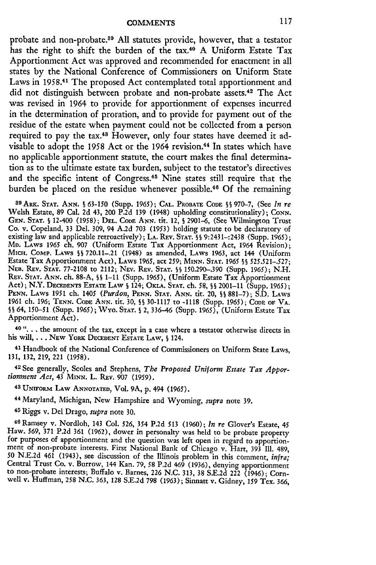probate and non-probate.<sup>89</sup> All statutes provide, however, that a testator has the right to shift the burden of the tax.<sup>40</sup> A Uniform Estate Tax Apportionment Act was approved and recommended for enactment in all states by the National Conference of Commissioners on Uniform State Laws in 1958.<sup>41</sup> The proposed Act contemplated total apportionment and did not distinguish between probate and non-probate assets.42 The Act was revised in 1964 to provide for apportionment of expenses incurred in the determination of proration, and to provide for payment out of the residue of the estate when payment could not be collected from a person required to pay the tax.<sup>48</sup> However, only four states have deemed it advisable to adopt the 1958 Act or the 1964 revision.<sup>44</sup> In states which have no applicable apportionment statute, the court makes the final determination as to the ultimate estate tax burden, subject to the testator's directives and the specific intent of Congress.<sup>45</sup> Nine states still require that the burden be placed on the residue whenever possible.<sup>46</sup> Of the remaining

89ARK. **STAT. ANN.** § 63-150 (Supp. 1965); **CAL.** PROBATE **CODE §** 970-7, (See *In re* Welsh Estate, **89** Cal. 2d 43, 200 P.2d **139** (1948) upholding constitutionality); CONN. **GEN. STAT. S** 12-400 (1958); **DEL.** CODE **ANN.** tit. 12, **S** 2901-6, (See Wilmington Trust Co. v. Copeland, 33 Del. 309, 94 A.2d 703 (1953) holding statute to be declaratory of existing law and applicable retroactively); **LA.** REV. **STAT. §§** 9:2431-:2438 (Supp. 1965); **MD.** LAWS 1965 ch. 907 (Uniform Estate Tax Apportionment Act, 1964 Revision); MICH. CoMp. LAWS **SS** 720.11-.21 (1948) as amended, LAWS 1963, act 144 (Uniform Estate Tax Apportionment Act), LAWS 1965, act 259; **MINN. STAT. 1965** *§§* 525.521-.527; **NEB.** REV. **STAT.** 77-2108 to 2112; NEV. REV. **STAT. SS** 150.290-.390 (Supp. 1965); N.H. REV. **STAT. ANN.** ch. **88-A, §§** 1-11 (Supp. 1965), (Uniform Estate Tax Apportionment Act); N.Y. DECEDENTS ESTATE LAW **S** 124; OKLA. **STAT.** ch. **58, §§** 2001-11 (Supp. 1965); **PENN.** LAWS 1951 ch. 1405 *(Purdon,* **PENN. STAT. ANN.** tit. 20, **§5** 881-7); **S.D.** LAWS 1961 ch. 196; **TENN.** CODE **ANN. tit.** 30, **S§** 30-1117 to -1118 (Supp. 1965); **CODE OF** VA. **S§** 64, 150-51 (Supp. 1965); Wyo. **STAT. S** 2, 336-46 (Supp. 1965), (Uniform Estate Tax Apportionment Act).

**<sup>40</sup>...** the amount of the tax, except in a case where a testator otherwise directs in his will, **...** NEW YORK **DECEDENT ESTATE** LAW, **S** 124.

**<sup>41</sup>**Handbook of the National Conference of Commissioners on Uniform State Laws, 131, 132, 219, 221 (1958).

42 See generally, Scoles and Stephens, *The Proposed Uniform Estate Tax Apportionment Act,* 43 MINN. L. REV. 907 (1959).

**43** UNIFoRM LAW **ANNOTATED,** Vol. 9A, **p.** 494 (1965).

44 Maryland, Michigan, New Hampshire and Wyoming, *supra* note **39.**

45 Riggs v. Del Drago, *supra* note **30.**

**<sup>46</sup>**Ramsey v. Nordloh, 143 Col. 526, 354 **P.2d** 513 (1960); *In re* Glover's Estate, 45 Haw. 569, 371 **P.2d** 361 (1962), dower in personalty was held to be probate property for purposes of apportionment and the question was left open in regard to apportionment of non-probate interests. First National Bank of Chicago v. Hart, 393 **Ill.** 489, 50 N.E.2d 461 (1943), see discussion of the Illinois problem in this comment, *infra;* Central Trust Co. v. Burrow, 144 Kan. 79, **58 P.2d** 469 (1936), denying apportionment to non-probate interests; Buffalo v. Barnes, 226 **N.C.** 313, **38** S.E.2d 222 (1946); Cornwell v. Huffman, **258 N.C.** 363, 128 S.E.2d **798** (1963); Sinnatt v. Gidney, 159 Tex. 366,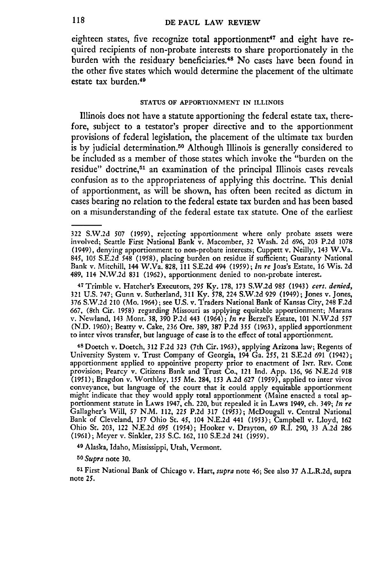eighteen states, five recognize total apportionment<sup>47</sup> and eight have required recipients of non-probate interests to share proportionately in the burden with the residuary beneficiaries. 48 No cases have been found in the other five states which would determine the placement of the ultimate estate tax burden.<sup>49</sup>

### **STATUS OF** APPORTIONMENT **IN ILLINOIS**

Illinois does not have a statute apportioning the federal estate tax, therefore, subject to a testator's proper directive and to the apportionment provisions of federal legislation, the placement of the ultimate tax burden is by judicial determination. 50 Although Illinois is generally considered to be included as a member of those states which invoke the "burden on the residue" doctrine,<sup>51</sup> an examination of the principal Illinois cases reveals confusion as to the appropriateness of applying this doctrine. This denial of apportionment, as will be shown, has often been recited as dictum in cases bearing no relation to the federal estate tax burden and has been based on a misunderstanding of the federal estate tax statute. One of the earliest

47 Trimble v. Hatcher's Executors, **295** Ky. 178, 173 S.W.2d **985** (1943) *cert. denied,* 321 U.S. 747; Gunn v. Sutherland, 311 Ky. **578,** 224 S.W.2d 929 (1949); Jones v. Jones, 376 S.W.2d 210 (Mo. 1964); see U.S. v. Traders National Bank of Kansas City, 248 F.2d 667, (8th Cir. 1958) regarding Missouri as applying equitable apportionment; Marans v. Newland, 143 Mont. 38, 390 P.2d 443 (1964); *In re* Berzel's Estate, 101 N.W.2d **<sup>557</sup>** (N.D. 1960); Beatty v. Cake, 236 Ore. 389, 387 P.2d *355* (1963), applied apportionment to inter vivos transfer, but language of case is to the effect of total apportionment.

48 Doetch v. Doetch, 312 F.2d 323 (7th Cir. 1963), applying Arizona law; Regents of University System v. Trust Company of Georgia, 194 Ga. *255,* 21 S.E.2d 691 (1942); apportionment applied to appointive property prior to enactment of Ir. REv. **CODE** provision; Pearcy v. Citizens Bank and Trust Co., 121 Ind. App. 136, 96 N.E.2d 918 (1951); Bragdon v. Worthley, *155* Me. 284, **153** A.2d 627 (1959), applied to inter vivos conveyance, but language of the court that it could apply equitable apportionment might indicate that they would apply total apportionment (Maine enacted a total apportionment statute in LAWS 1947, ch. 220, but repealed it in LAWS 1949, ch. 349; *In re* Gallagher's Will, **57** N.M. 112, **225** P.2d 317 (1953); McDougall v. Central National Bank of Cleveland, **157** Ohio St. *45,* 104 N.E.2d 441 (1953); Campbell v. Lloyd, 162 Ohio St. 203, 122 N.E.2d *695* (1954); Hooker v. Drayton, 69 R.I. 290, 33 A.2d 286 (1961); Meyer v. Sinkler, **235** S.C. 162, **110** S.E.2d 241 (1959).

**<sup>49</sup>**Alaska, Idaho, Mississippi, Utah, Vermont.

*50 Supra* note 30.

**<sup>51</sup>**First National Bank of Chicago v. Hart, *supra* note 46; See also 37 A.L.R.2d, supra note *25.*

<sup>322</sup> S.W.2d **507 (1959),** rejecting apportionment where only probate assets were involved; Seattle First National Bank v. Macomber, 32 Wash. 2d 696, 203 P.2d 1078 (1949), denying apportionment to non-probate interests; Cuppett v. Neilly, 143 W.Va. 845, 105 S.E.2d 548 (1958), placing burden on residue if sufficient; Guaranty National Bank v. Mitchill, 144 W.Va. 828, 111 S.E.2d 494 (1959); *In re* Joas's Estate, 16 Wis. 2d 489, 114 N.W.2d 831 (1962), apportionment denied to non-probate interest.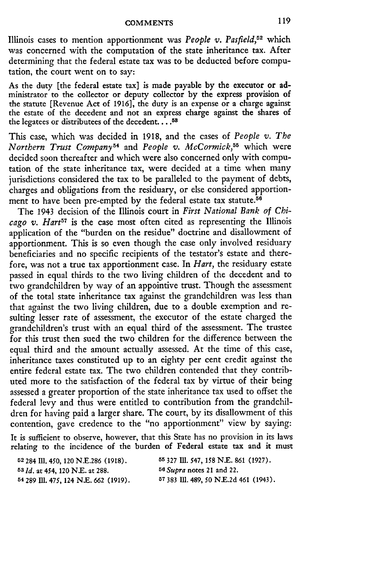Illinois cases to mention apportionment was *People v. Pasfield,52* which was concerned with the computation of the state inheritance tax. After determining that the federal estate tax was to be deducted before computation, the court went on to say:

As the duty [the federal estate tax] is made payable by the executor or administrator to the collector or deputy collector by the express provision of the statute [Revenue Act of **1916],** the duty is an expense or a charge against the estate of the decedent and not an express charge against the shares of the legatees or distributees of the decedent **.... 58**

This case, which was decided in 1918, and the cases of *People v. The Northern Trust Company54* and *People v. McCormick,55* which were decided soon thereafter and which were also concerned only with computation of the state inheritance tax, were decided at a time when many jurisdictions considered the tax to be paralleled to the payment of debts, charges and obligations from the residuary, or else considered apportionment to have been pre-empted by the federal estate tax statute.<sup>56</sup>

The 1943 decision of the Illinois court in *First National Bank of Chicago v. Hart57* is the case most often cited as representing the Illinois application of the "burden on the residue" doctrine and disallowment of apportionment. This is so even though the case only involved residuary beneficiaries and no specific recipients of the testator's estate and therefore, was not a true tax apportionment case. In *Hart,* the residuary estate passed in equal thirds to the two living children of the decedent and to two grandchildren by way of an appointive trust. Though the assessment of the total state inheritance tax against the grandchildren was less than that against the two living children, due to a double exemption and resulting lesser rate of assessment, the executor of the estate charged the grandchildren's trust with an equal third of the assessment. The trustee for this trust then sued the two children for the difference between the equal third and the amount actually assessed. At the time of this case, inheritance taxes constituted up to an eighty per cent credit against the entire federal estate tax. The two children contended that they contributed more to the satisfaction of the federal tax by virtue of their being assessed a greater proportion of the state inheritance tax used to offset the federal levy and thus were entitled to contribution from the grandchildren for having paid a larger share. The court, by its disallowment of this contention, gave credence to the "no apportionment" view by saying:

It is sufficient to observe, however, that this State has no provision in its laws relating to the incidence of the burden of Federal estate tax and it must

*531d.* at 454, 120 N.E. at 288. *<sup>5</sup> 6 Supra* notes **21 and 22. 54 289** Iil. 475, **124 N.E. 662 (1919).** *5* **383 I1.** 489, *50* N.E.2d 461 (1943).

**52284 111.** 450, **120 N.E.286 (1918). 55** 327 IMI. 547, **158** N.E. **861 (1927).**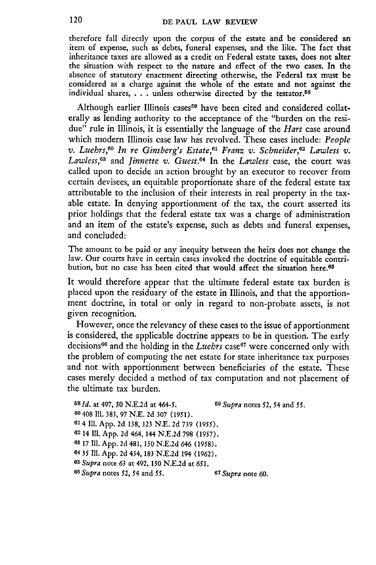therefore fall directly upon the corpus of the estate and be considered an item of expense, such as debts, funeral expenses, and the like. The fact that inheritance taxes are allowed as a credit on Federal estate taxes, does not alter the situation with respect to the nature and effect of the two cases. In the absence of statutory enactment directing otherwise, the Federal tax must be considered as a charge against the whole of the estate and not against the individual shares, . **.** . unless otherwise directed by the testator.<sup>58</sup>

Although earlier Illinois cases<sup>59</sup> have been cited and considered collaterally as lending authority to the acceptance of the "burden on the residue" rule in Illinois, it is essentially the language of the *Hart* case around which modern Illinois case law has revolved. These cases include: *People v. Luehrs,<sup>60</sup> In re Ginsberg's Estate,<sup>61</sup> Franz v. Schneider,<sup>62</sup> Lawless v. Lawless,63* and *Jinnette v. Guest.64* In the *Lawless* case, the court was called upon to decide an action brought by an executor to recover from certain devisees, an equitable proportionate share of the federal estate tax attributable to the inclusion of their interests in real property in the taxable estate. In denying apportionment of the tax, the court asserted its prior holdings that the federal estate tax was a charge of administration and an item of the estate's expense, such as debts and funeral expenses, and concluded:

The amount to be paid or any inequity between the heirs does not change the law. Our courts have in certain cases invoked the doctrine of equitable contribution, but no case has been cited that would affect the situation here.<sup>65</sup>

It would therefore appear that the ultimate federal estate tax burden is placed upon the residuary of the estate in Illinois, and that the apportionment doctrine, in total or only in regard to non-probate assets, is not given recognition.

However, once the relevancy of these cases to the issue of apportionment is considered, the applicable doctrine appears to be in question. The early decisions<sup>66</sup> and the holding in the *Luebrs* case<sup>67</sup> were concerned only with the problem of computing the net estate for state inheritance tax purposes and not with apportionment between beneficiaries of the estate. These cases merely decided a method of tax computation and not placement of the ultimate tax burden.

| 60 408 Ill. 383, 97 N.E. 2d 307 (1951).<br>61 4 Ill. App. 2d 138, 123 N.E. 2d 739 (1955). |  |
|-------------------------------------------------------------------------------------------|--|
|                                                                                           |  |
|                                                                                           |  |
| 62 14 Ill. App. 2d 464, 144 N.E.2d 798 (1957).                                            |  |
| 63 17 Ill. App. 2d 481, 150 N.E.2d 646 (1958).                                            |  |
| 64 35 Ill. App. 2d 434, 183 N.E.2d 194 (1962).                                            |  |
| 65 Supra note 63 at 492, 150 N.E.2d at 651.                                               |  |
| 66 Supra notes 52, 54 and 55.<br><sup>67</sup> Supra note 60.                             |  |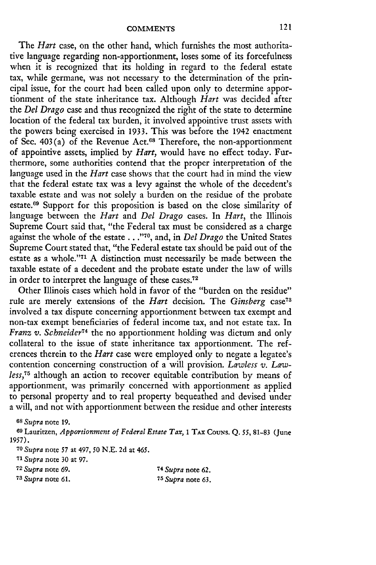The *Hart* case, on the other hand, which furnishes the most authoritative language regarding non-apportionment, loses some of its forcefulness when it is recognized that its holding in regard to the federal estate tax, while germane, was not necessary to the determination of the principal issue, for the court had been called upon only to determine apportionment of the state inheritance tax. Although *Hart* was decided after the *Del Drago* case and thus recognized the right of the state to determine location of the federal tax burden, it involved appointive trust assets with the powers being exercised in 1933. This was before the 1942 enactment of Sec. 403(a) of the Revenue Act.<sup>68</sup> Therefore, the non-apportionment of appointive assets, implied **by** *Hart,* would have no effect today. Furthermore, some authorities contend that the proper interpretation of the language used in the *Hart* case shows that the court had in mind the view that the federal estate tax was a levy against the whole of the decedent's taxable estate and was not solely a burden on the residue of the probate estate.<sup>69</sup> Support for this proposition is based on the close similarity of language between the *Hart* and *Del Drago* cases. In *Hart,* the Illinois Supreme Court said that, "the Federal tax must be considered as a charge against the whole of the estate **... ,70,** and, in *Del Drago* the United States Supreme Court stated that, "the Federal estate tax should be paid out of the estate as a whole."<sup>71</sup> A distinction must necessarily be made between the taxable estate of a decedent and the probate estate under the law of wills in order to interpret the language of these cases.<sup>72</sup>

Other Illinois cases which hold in favor of the "burden on the residue" rule are merely extensions of the *Hart* decision. The *Ginsberg* case<sup>73</sup> involved a tax dispute concerning apportionment between tax exempt and non-tax exempt beneficiaries of federal income tax, and not estate tax. In *Franz v. Schneider74* the no apportionment holding was dictum and only collateral to the issue of state inheritance tax apportionment. The references therein to the *Hart* case were employed only to negate a legatee's contention concerning construction of a will provision. *Lawless v. Lawless,75* although an action to recover equitable contribution **by** means of apportionment, was primarily concerned with apportionment as applied to personal property and to real property bequeathed and devised under a will, and not with apportionment between the residue and other interests

**<sup>68</sup>***Supra* note 19.

**<sup>69</sup>**Lauritzen, *Apportionment of Federal Estate Tax, I* **TAx** CouNs. **Q.** *55,* **81-83** (June **1957).**

**<sup>70</sup>***Supra* note 57 at 497, 50 N.E. 2d at 465.

**<sup>71</sup>***Supra* note **30** at **97.**

**<sup>72</sup>***Supra* note **69.** 74 *Supra* note **62. 78** *Supra* note **61. 75** *Supra* note **63.**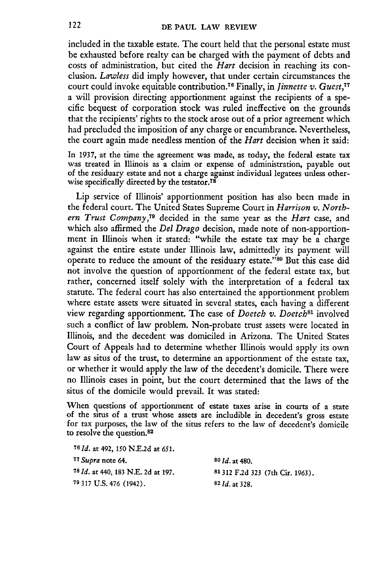included in the taxable estate. The court held that the personal estate must be exhausted before realty can be charged with the payment of debts and costs of administration, but cited the *Hart* decision in reaching its conclusion. *Lawless* did imply however, that under certain circumstances the court could invoke equitable contribution.<sup>76</sup> Finally, in *Jinnette v. Guest*,<sup>77</sup> a will provision directing apportionment against the recipients of a specific bequest of corporation stock was ruled ineffective on the grounds that the recipients' rights to the stock arose out of a prior agreement which had precluded the imposition of any charge or encumbrance. Nevertheless, the court again made needless mention of the *Hart* decision when it said:

In **1937,** at the time the agreement was made, as today, the federal estate tax was treated in Illinois as a claim or expense of administration, payable out of the residuary estate and not a charge against individual legatees unless otherwise specifically directed **by** the testator. <sup>78</sup>

Lip service of Illinois' apportionment position has also been made in the federal court. The United States Supreme Court in *Harrison v. North*ern *Trust Company,79* decided in the same year as the *Hart* case, and which also affirmed the *Del Drago* decision, made note of non-apportionment in Illinois when it stated: "while the estate tax may be a charge against the entire estate under Illinois law, admittedly its payment will operate to reduce the amount of the residuary estate."80 But this case did not involve the question of apportionment of the federal estate tax, but rather, concerned itself solely with the interpretation of a federal tax statute. The federal court has also entertained the apportionment problem where estate assets were situated in several states, each having a different view regarding apportionment. The case of *Doetch v. Doetch<sup>s</sup> '* involved such a conflict of law problem. Non-probate trust assets were located in Illinois, and the decedent was domiciled in Arizona. The United States Court of Appeals had to determine whether Illinois would apply its own law as situs of the trust, to determine an apportionment of the estate tax, or whether it would apply the law of the decedent's domicile. There were no Illinois cases in point, but the court determined that the laws of the situs of the domicile would prevail. It was stated:

When questions of apportionment of estate taxes arise in courts of a state of the situs of a trust whose assets are includible in decedent's gross estate for tax purposes, the law of the situs refers to the law of decedent's domicile to resolve the question.82

| <sup>76</sup> <i>Id.</i> at 492, 150 N.E.2d at 651.  |                                  |
|------------------------------------------------------|----------------------------------|
| <sup>77</sup> Supra note 64.                         | $80$ <i>Id.</i> at 480.          |
| <sup>78</sup> <i>Id.</i> at 440, 183 N.E. 2d at 197. | 81 312 F.2d 323 (7th Cir. 1963). |
| <sup>79</sup> 317 U.S. 476 (1942).                   | $82$ <i>ld.</i> at 328.          |